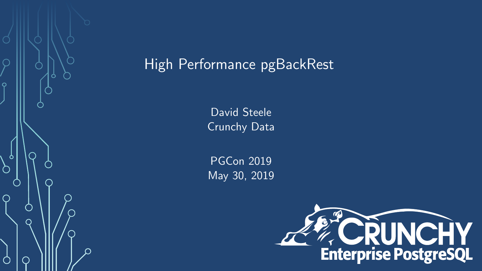

# High Performance pgBackRest

David Steele Crunchy Data

PGCon 2019 May 30, 2019

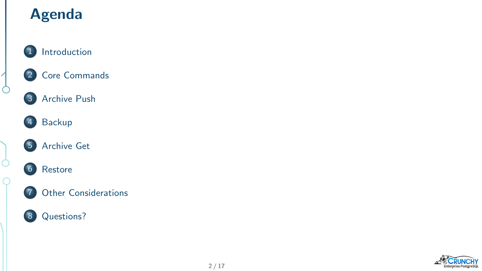# Agenda



### [Core Commands](#page-4-0)

#### [Archive Push](#page-5-0)



 $\int$ 

 $\begin{matrix} \end{matrix}$ 

 $\overline{C}$ 









#### [Other Considerations](#page-13-0)



[Questions?](#page-16-0)

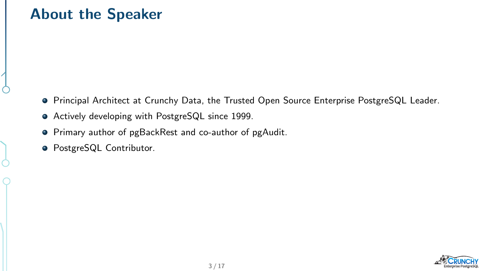### <span id="page-2-0"></span>About the Speaker

- Principal Architect at Crunchy Data, the Trusted Open Source Enterprise PostgreSQL Leader.
- Actively developing with PostgreSQL since 1999.
- **•** Primary author of pgBackRest and co-author of pgAudit.
- **PostgreSQL Contributor.**

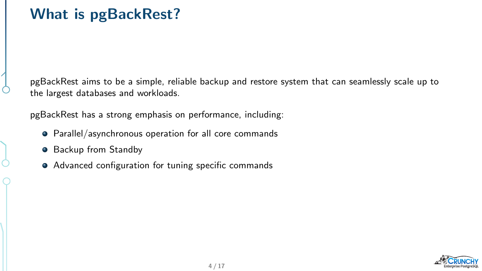pgBackRest aims to be a simple, reliable backup and restore system that can seamlessly scale up to the largest databases and workloads.

pgBackRest has a strong emphasis on performance, including:

- Parallel/asynchronous operation for all core commands
- **•** Backup from Standby
- Advanced configuration for tuning specific commands

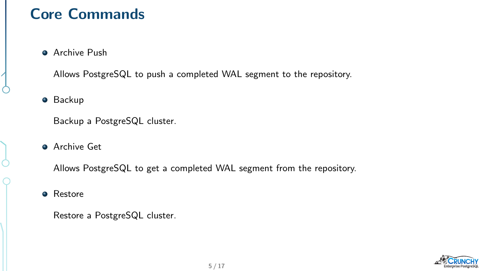## <span id="page-4-0"></span>Core Commands

**Archive Push** 

Allows PostgreSQL to push a completed WAL segment to the repository.

**•** Backup

Backup a PostgreSQL cluster.

**Archive Get** 

Allows PostgreSQL to get a completed WAL segment from the repository.

**•** Restore

Restore a PostgreSQL cluster.

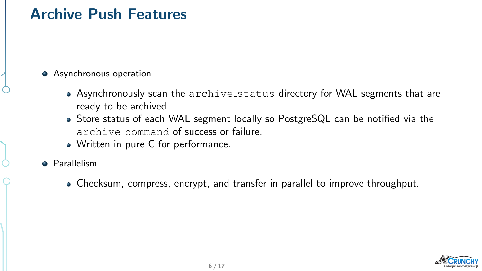### <span id="page-5-0"></span>Archive Push Features

- Asynchronous operation
	- Asynchronously scan the archive status directory for WAL segments that are ready to be archived.
	- Store status of each WAL segment locally so PostgreSQL can be notified via the archive command of success or failure.
	- Written in pure C for performance.
- **•** Parallelism
	- Checksum, compress, encrypt, and transfer in parallel to improve throughput.

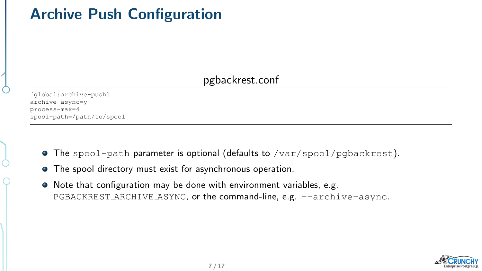# Archive Push Configuration

#### pgbackrest.conf

[global:archive-push] archive-async=y process-max=4 spool-path=/path/to/spool

- $\bullet$  The spool-path parameter is optional (defaults to /var/spool/pgbackrest).
- The spool directory must exist for asynchronous operation.
- Note that configuration may be done with environment variables, e.g. PGBACKREST\_ARCHIVE\_ASYNC, or the command-line, e.g. --archive-async.

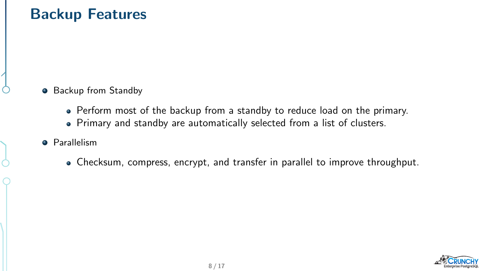### <span id="page-7-0"></span>Backup Features

- Backup from Standby
	- Perform most of the backup from a standby to reduce load on the primary.
	- Primary and standby are automatically selected from a list of clusters.
- **•** Parallelism
	- Checksum, compress, encrypt, and transfer in parallel to improve throughput.

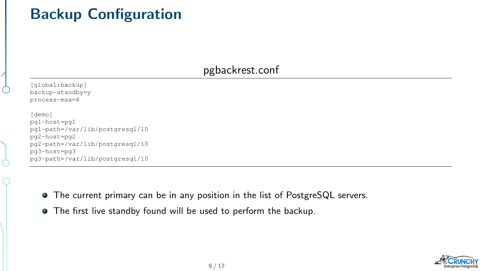# Backup Configuration

#### pgbackrest.conf

| [qlobal:backup]                 |
|---------------------------------|
| backup-standby=y                |
| process-max=8                   |
| [demo]                          |
| pg1-host=pg1                    |
| pq1-path=/var/lib/postgresgl/10 |
| pg2-host=pg2                    |
| pq2-path=/var/lib/postgresgl/10 |
| pg3-host=pg3                    |

- pg3-path=/var/lib/postgresql/10
	- The current primary can be in any position in the list of PostgreSQL servers.
	- The first live standby found will be used to perform the backup.

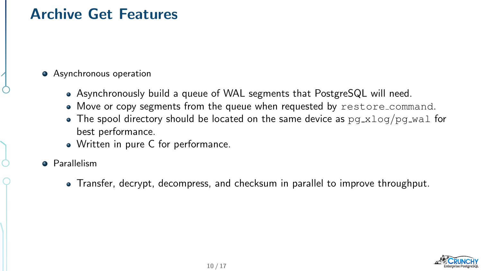### <span id="page-9-0"></span>Archive Get Features

#### Asynchronous operation

- Asynchronously build a queue of WAL segments that PostgreSQL will need.
- Move or copy segments from the queue when requested by restore command.
- The spool directory should be located on the same device as  $pq_xlog/pq_w$  Tor best performance.
- Written in pure C for performance.
- **•** Parallelism
	- Transfer, decrypt, decompress, and checksum in parallel to improve throughput.

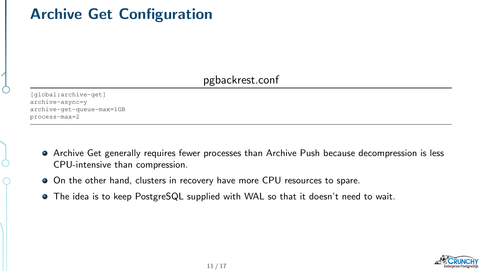# Archive Get Configuration

### pgbackrest.conf

[global:archive-get] archive-async=y archive-get-queue-max=1GB process-max=2

- Archive Get generally requires fewer processes than Archive Push because decompression is less CPU-intensive than compression.
- On the other hand, clusters in recovery have more CPU resources to spare.
- The idea is to keep PostgreSQL supplied with WAL so that it doesn't need to wait.

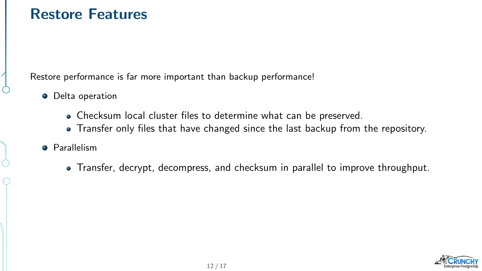### <span id="page-11-0"></span>Restore Features

Restore performance is far more important than backup performance!

- **•** Delta operation
	- Checksum local cluster files to determine what can be preserved.
	- Transfer only files that have changed since the last backup from the repository.
- **•** Parallelism
	- Transfer, decrypt, decompress, and checksum in parallel to improve throughput.

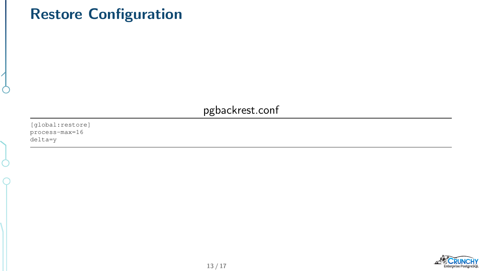## Restore Configuration

pgbackrest.conf

[global:restore] process-max=16 delta=y

Ò

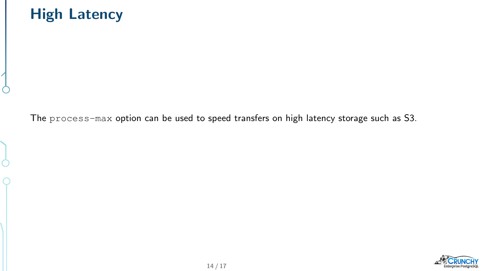## <span id="page-13-0"></span>High Latency



The process-max option can be used to speed transfers on high latency storage such as S3.

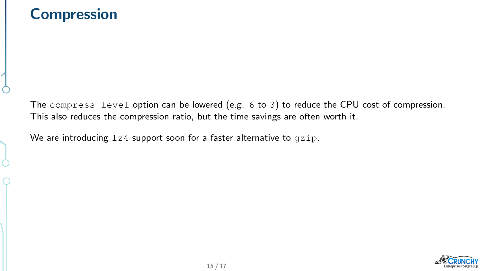### **Compression**

The compress-level option can be lowered (e.g. 6 to 3) to reduce the CPU cost of compression. This also reduces the compression ratio, but the time savings are often worth it.

We are introducing  $1z4$  support soon for a faster alternative to  $qzip$ .

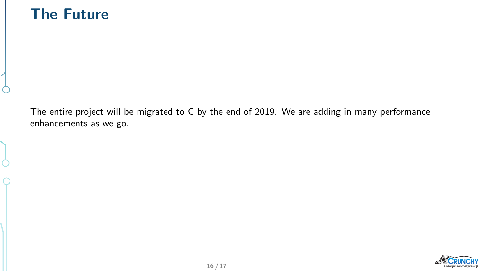### The Future

The entire project will be migrated to C by the end of 2019. We are adding in many performance enhancements as we go.